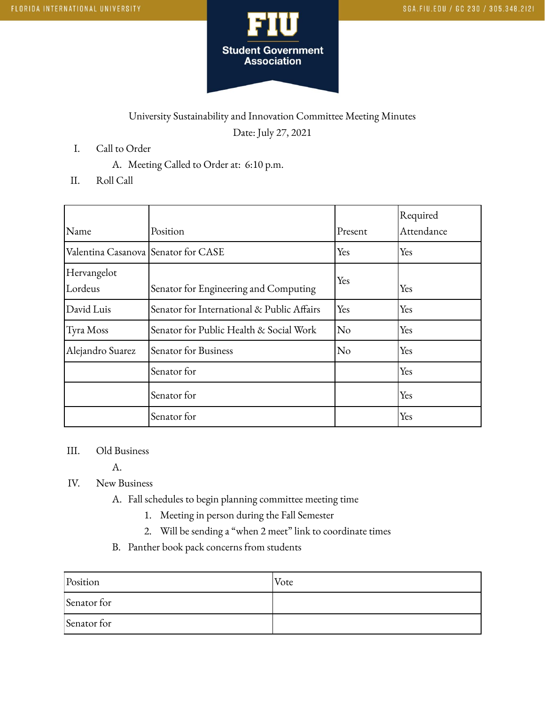

## University Sustainability and Innovation Committee Meeting Minutes Date: July 27, 2021

- I. Call to Order
	- A. Meeting Called to Order at: 6:10 p.m.
- II. Roll Call

|                                     |                                            |         | Required   |
|-------------------------------------|--------------------------------------------|---------|------------|
| Name                                | Position                                   | Present | Attendance |
| Valentina Casanova Senator for CASE |                                            | Yes     | Yes        |
| Hervangelot                         |                                            | Yes     |            |
| Lordeus                             | Senator for Engineering and Computing      |         | Yes        |
| David Luis                          | Senator for International & Public Affairs | Yes     | Yes        |
| Tyra Moss                           | Senator for Public Health & Social Work    | No      | Yes        |
| Alejandro Suarez                    | Senator for Business                       | No      | Yes        |
|                                     | Senator for                                |         | Yes        |
|                                     | Senator for                                |         | Yes        |
|                                     | Senator for                                |         | Yes        |

## III. Old Business

A.

- IV. New Business
	- A. Fall schedules to begin planning committee meeting time
		- 1. Meeting in person during the Fall Semester
		- 2. Will be sending a "when 2 meet" link to coordinate times
	- B. Panther book pack concerns from students

| Position    | Vote |
|-------------|------|
| Senator for |      |
| Senator for |      |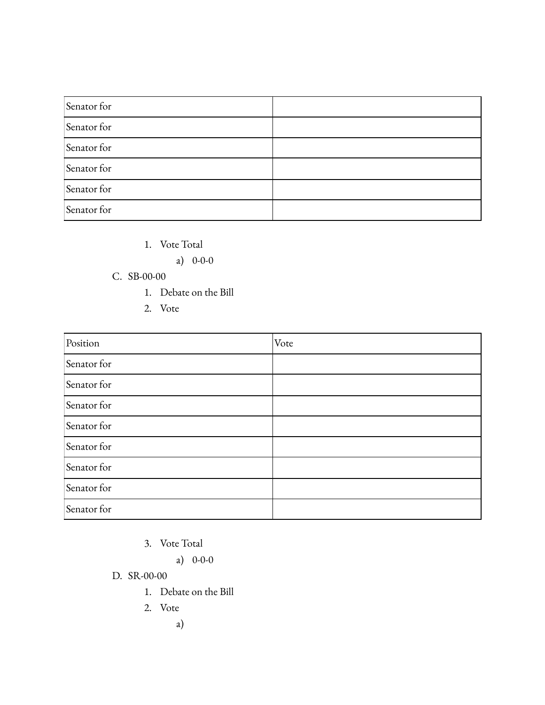| Senator for |  |
|-------------|--|
| Senator for |  |
| Senator for |  |
| Senator for |  |
| Senator for |  |
| Senator for |  |

- 1. Vote Total
	- a) 0-0-0

## C. SB-00-00

- 1. Debate on the Bill
- 2. Vote

| Position    | Vote |
|-------------|------|
| Senator for |      |
| Senator for |      |
| Senator for |      |
| Senator for |      |
| Senator for |      |
| Senator for |      |
| Senator for |      |
| Senator for |      |

3. Vote Total

a) 0-0-0

D. SR-00-00

- 1. Debate on the Bill
- 2. Vote

a)